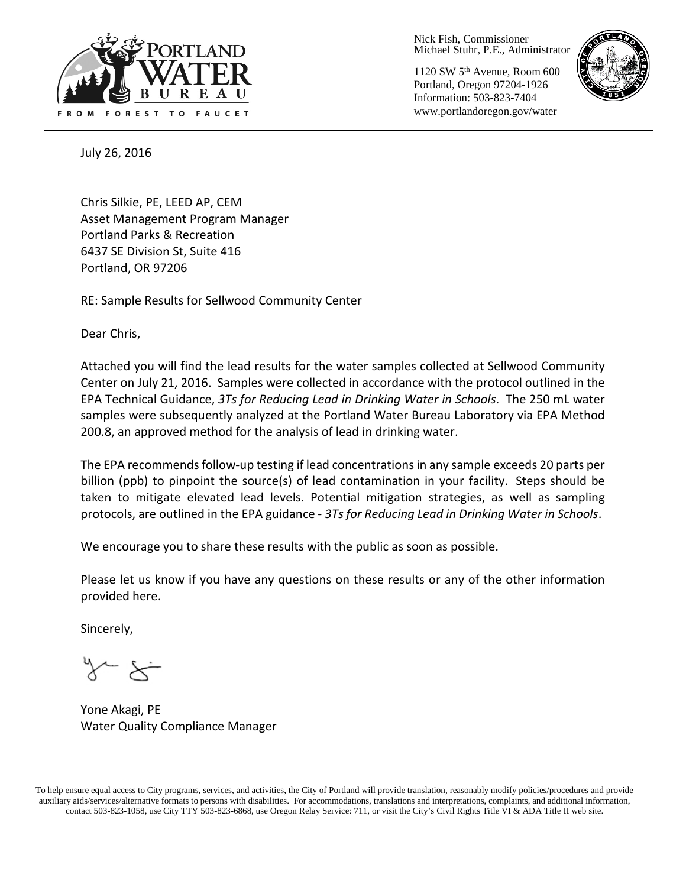

Nick Fish, Commissioner Michael Stuhr, P.E., Administrator

1120 SW 5th Avenue, Room 600 Portland, Oregon 97204-1926 Information: 503-823-7404 www.portlandoregon.gov/water



July 26, 2016

Chris Silkie, PE, LEED AP, CEM Asset Management Program Manager Portland Parks & Recreation 6437 SE Division St, Suite 416 Portland, OR 97206

RE: Sample Results for Sellwood Community Center

Dear Chris,

Attached you will find the lead results for the water samples collected at Sellwood Community Center on July 21, 2016. Samples were collected in accordance with the protocol outlined in the EPA Technical Guidance, *3Ts for Reducing Lead in Drinking Water in Schools*. The 250 mL water samples were subsequently analyzed at the Portland Water Bureau Laboratory via EPA Method 200.8, an approved method for the analysis of lead in drinking water.

The EPA recommends follow-up testing if lead concentrations in any sample exceeds 20 parts per billion (ppb) to pinpoint the source(s) of lead contamination in your facility. Steps should be taken to mitigate elevated lead levels. Potential mitigation strategies, as well as sampling protocols, are outlined in the EPA guidance - *3Ts for Reducing Lead in Drinking Water in Schools*.

We encourage you to share these results with the public as soon as possible.

Please let us know if you have any questions on these results or any of the other information provided here.

Sincerely,

Yone Akagi, PE Water Quality Compliance Manager

To help ensure equal access to City programs, services, and activities, the City of Portland will provide translation, reasonably modify policies/procedures and provide auxiliary aids/services/alternative formats to persons with disabilities. For accommodations, translations and interpretations, complaints, and additional information, contact 503-823-1058, use City TTY 503-823-6868, use Oregon Relay Service: 711, or visi[t the City's Civil Rights Title VI & ADA Title II web site.](http://www.portlandoregon.gov/oehr/66458)